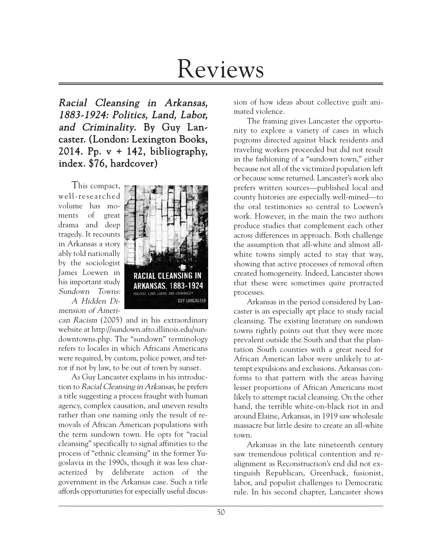# Reviews

Racial Cleansing in Arkansas, 1883-1924: Politics, Land, Labor, and Criminality. By Guy Lancaster. (London: Lexington Books, 2014. Pp.  $v + 142$ , bibliography, index. \$76, hardcover)

This compact, well-researched volume has moments of great drama and deep tragedy. It recounts in Arkansas a story ably told nationally by the sociologist James Loewen in his important study Sundown Towns: A Hidden Di-

mension of Ameri-



can Racism (2005) and in his extraordinary website at http://sundown.afro.illinois.edu/sundowntowns.php. The "sundown" terminology refers to locales in which Africans Americans were required, by custom, police power, and terror if not by law, to be out of town by sunset.

As Guy Lancaster explains in his introduction to Racial Cleansing in Arkansas, he prefers a title suggesting a process fraught with human agency, complex causation, and uneven results rather than one naming only the result of removals of African American populations with the term sundown town. He opts for "racial cleansing" specifically to signal affinities to the process of "ethnic cleansing" in the former Yugoslavia in the 1990s, though it was less characterized by deliberate action of the government in the Arkansas case. Such a title affords opportunities for especially useful discussion of how ideas about collective guilt animated violence.

The framing gives Lancaster the opportunity to explore a variety of cases in which pogroms directed against black residents and traveling workers proceeded but did not result in the fashioning of a "sundown town," either because not all of the victimized population left or because some returned. Lancaster's work also prefers written sources—published local and county histories are especially well-mined—to the oral testimonies so central to Loewen's work. However, in the main the two authors produce studies that complement each other across differences in approach. Both challenge the assumption that all-white and almost allwhite towns simply acted to stay that way, showing that active processes of removal often created homogeneity. Indeed, Lancaster shows that these were sometimes quite protracted processes.

Arkansas in the period considered by Lancaster is an especially apt place to study racial cleansing. The existing literature on sundown towns rightly points out that they were more prevalent outside the South and that the plantation South counties with a great need for African American labor were unlikely to attempt expulsions and exclusions. Arkansas conforms to that pattern with the areas having lesser proportions of African Americans most likely to attempt racial cleansing. On the other hand, the terrible white-on-black riot in and around Elaine, Arkansas, in 1919 saw wholesale massacre but little desire to create an all-white town.

Arkansas in the late nineteenth century saw tremendous political contention and realignment as Reconstruction's end did not extinguish Republican, Greenback, fusionist, labor, and populist challenges to Democratic rule. In his second chapter, Lancaster shows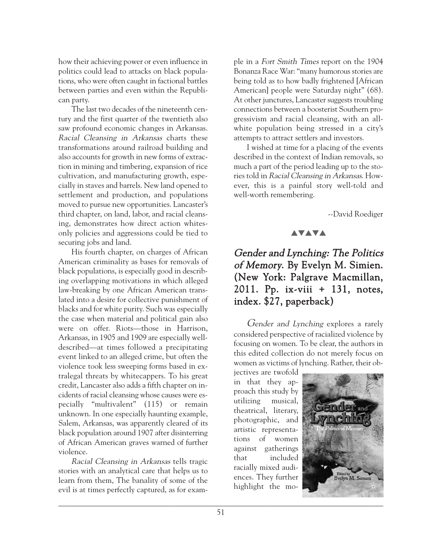how their achieving power or even influence in politics could lead to attacks on black populations, who were often caught in factional battles between parties and even within the Republican party.

The last two decades of the nineteenth century and the first quarter of the twentieth also saw profound economic changes in Arkansas. Racial Cleansing in Arkansas charts these transformations around railroad building and also accounts for growth in new forms of extraction in mining and timbering, expansion of rice cultivation, and manufacturing growth, especially in staves and barrels. New land opened to settlement and production, and populations moved to pursue new opportunities. Lancaster's third chapter, on land, labor, and racial cleansing, demonstrates how direct action whitesonly policies and aggressions could be tied to securing jobs and land.

His fourth chapter, on charges of African American criminality as bases for removals of black populations, is especially good in describing overlapping motivations in which alleged law-breaking by one African American translated into a desire for collective punishment of blacks and for white purity. Such was especially the case when material and political gain also were on offer. Riots—those in Harrison, Arkansas, in 1905 and 1909 are especially welldescribed—at times followed a precipitating event linked to an alleged crime, but often the violence took less sweeping forms based in extralegal threats by whitecappers. To his great credit, Lancaster also adds a fifth chapter on incidents of racial cleansing whose causes were especially "multivalent" (115) or remain unknown. In one especially haunting example, Salem, Arkansas, was apparently cleared of its black population around 1907 after disinterring of African American graves warned of further violence.

Racial Cleansing in Arkansas tells tragic stories with an analytical care that helps us to learn from them, The banality of some of the evil is at times perfectly captured, as for example in a Fort Smith Times report on the 1904 Bonanza Race War: "many humorous stories are being told as to how badly frightened [African American] people were Saturday night" (68). At other junctures, Lancaster suggests troubling connections between a boosterist Southern progressivism and racial cleansing, with an allwhite population being stressed in a city's attempts to attract settlers and investors.

I wished at time for a placing of the events described in the context of Indian removals, so much a part of the period leading up to the stories told in Racial Cleansing in Arkansas. However, this is a painful story well-told and well-worth remembering.

--David Roediger

## **AVAVA**

# Gender and Lynching: The Politics of Memory. By Evelyn M. Simien. (New York: Palgrave Macmillan, 2011. Pp. ix-viii + 131, notes, index. \$27, paperback)

Gender and Lynching explores a rarely considered perspective of racialized violence by focusing on women. To be clear, the authors in this edited collection do not merely focus on women as victims of lynching. Rather, their ob-

jectives are twofold in that they approach this study by utilizing musical, theatrical, literary, photographic, and artistic representations of women against gatherings that included racially mixed audiences. They further highlight the mo-

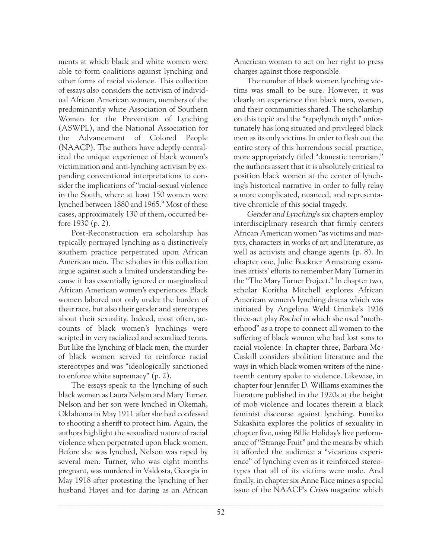ments at which black and white women were able to form coalitions against lynching and other forms of racial violence. This collection of essays also considers the activism of individual African American women, members of the predominantly white Association of Southern Women for the Prevention of Lynching (ASWPL), and the National Association for the Advancement of Colored People (NAACP). The authors have adeptly centralized the unique experience of black women's victimization and anti-lynching activism by expanding conventional interpretations to consider the implications of "racial-sexual violence in the South, where at least 150 women were lynched between 1880 and 1965." Most of these cases, approximately 130 of them, occurred before 1930 (p. 2).

Post-Reconstruction era scholarship has typically portrayed lynching as a distinctively southern practice perpetrated upon African American men. The scholars in this collection argue against such a limited understanding because it has essentially ignored or marginalized African American women's experiences. Black women labored not only under the burden of their race, but also their gender and stereotypes about their sexuality. Indeed, most often, accounts of black women's lynchings were scripted in very racialized and sexualized terms. But like the lynching of black men, the murder of black women served to reinforce racial stereotypes and was "ideologically sanctioned to enforce white supremacy" (p. 2).

The essays speak to the lynching of such black women as Laura Nelson and Mary Turner. Nelson and her son were lynched in Okemah, Oklahoma in May 1911 after she had confessed to shooting a sheriff to protect him. Again, the authors highlight the sexualized nature of racial violence when perpetrated upon black women. Before she was lynched, Nelson was raped by several men. Turner, who was eight months pregnant, was murdered in Valdosta, Georgia in May 1918 after protesting the lynching of her husband Hayes and for daring as an African

American woman to act on her right to press charges against those responsible.

The number of black women lynching victims was small to be sure. However, it was clearly an experience that black men, women, and their communities shared. The scholarship on this topic and the "rape/lynch myth" unfortunately has long situated and privileged black men as its only victims. In order to flesh out the entire story of this horrendous social practice, more appropriately titled "domestic terrorism," the authors assert that it is absolutely critical to position black women at the center of lynching's historical narrative in order to fully relay a more complicated, nuanced, and representative chronicle of this social tragedy.

Gender and Lynching's six chapters employ interdisciplinary research that firmly centers African American women "as victims and martyrs, characters in works of art and literature, as well as activists and change agents (p. 8). In chapter one, Julie Buckner Armstrong examines artists' efforts to remember Mary Turner in the "The Mary Turner Project." In chapter two, scholar Koritha Mitchell explores African American women's lynching drama which was initiated by Angelina Weld Grimke's 1916 three-act play Rachel in which she used "motherhood" as a trope to connect all women to the suffering of black women who had lost sons to racial violence. In chapter three, Barbara Mc-Caskill considers abolition literature and the ways in which black women writers of the nineteenth century spoke to violence. Likewise, in chapter four Jennifer D. Williams examines the literature published in the 1920s at the height of mob violence and locates therein a black feminist discourse against lynching. Fumiko Sakashita explores the politics of sexuality in chapter five, using Billie Holiday's live performance of "Strange Fruit" and the means by which it afforded the audience a "vicarious experience" of lynching even as it reinforced stereotypes that all of its victims were male. And finally, in chapter six Anne Rice mines a special issue of the NAACP's Crisis magazine which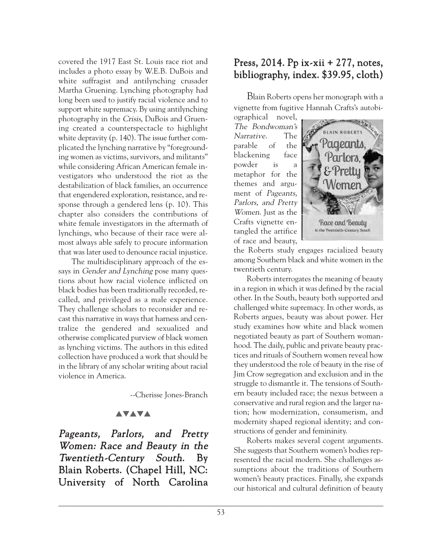covered the 1917 East St. Louis race riot and includes a photo essay by W.E.B. DuBois and white suffragist and antilynching crusader Martha Gruening. Lynching photography had long been used to justify racial violence and to support white supremacy. By using antilynching photography in the Crisis, DuBois and Gruening created a counterspectacle to highlight white depravity (p. 140). The issue further complicated the lynching narrative by "foregrounding women as victims, survivors, and militants" while considering African American female investigators who understood the riot as the destabilization of black families, an occurrence that engendered exploration, resistance, and response through a gendered lens (p. 10). This chapter also considers the contributions of white female investigators in the aftermath of lynchings, who because of their race were almost always able safely to procure information that was later used to denounce racial injustice.

The multidisciplinary approach of the essays in *Gender and Lynching* pose many questions about how racial violence inflicted on black bodies has been traditionally recorded, recalled, and privileged as a male experience. They challenge scholars to reconsider and recast this narrative in ways that harness and centralize the gendered and sexualized and otherwise complicated purview of black women as lynching victims. The authors in this edited collection have produced a work that should be in the library of any scholar writing about racial violence in America.

--Cherisse Jones-Branch

## **AVAVA**

Pageants, Parlors, and Pretty Women: Race and Beauty in the Twentieth-Century South. By Blain Roberts. (Chapel Hill, NC: University of North Carolina

## Press, 2014. Pp ix-xii + 277, notes, bibliography, index. \$39.95, cloth)

Blain Roberts opens her monograph with a vignette from fugitive Hannah Crafts's autobi-

ographical novel, The Bondwoman's Narrative. The parable of the blackening face powder is a metaphor for the themes and argument of Pageants, Parlors, and Pretty Women. Just as the Crafts vignette entangled the artifice of race and beauty,



the Roberts study engages racialized beauty among Southern black and white women in the twentieth century.

Roberts interrogates the meaning of beauty in a region in which it was defined by the racial other. In the South, beauty both supported and challenged white supremacy. In other words, as Roberts argues, beauty was about power. Her study examines how white and black women negotiated beauty as part of Southern womanhood. The daily, public and private beauty practices and rituals of Southern women reveal how they understood the role of beauty in the rise of Jim Crow segregation and exclusion and in the struggle to dismantle it. The tensions of Southern beauty included race; the nexus between a conservative and rural region and the larger nation; how modernization, consumerism, and modernity shaped regional identity; and constructions of gender and femininity.

Roberts makes several cogent arguments. She suggests that Southern women's bodies represented the racial modern. She challenges assumptions about the traditions of Southern women's beauty practices. Finally, she expands our historical and cultural definition of beauty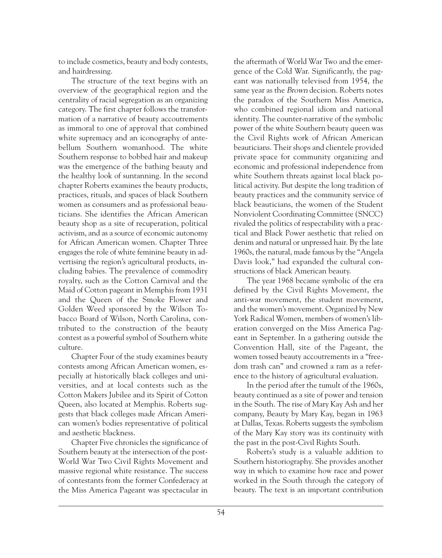to include cosmetics, beauty and body contests, and hairdressing.

The structure of the text begins with an overview of the geographical region and the centrality of racial segregation as an organizing category. The first chapter follows the transformation of a narrative of beauty accoutrements as immoral to one of approval that combined white supremacy and an iconography of antebellum Southern womanhood. The white Southern response to bobbed hair and makeup was the emergence of the bathing beauty and the healthy look of suntanning. In the second chapter Roberts examines the beauty products, practices, rituals, and spaces of black Southern women as consumers and as professional beauticians. She identifies the African American beauty shop as a site of recuperation, political activism, and as a source of economic autonomy for African American women. Chapter Three engages the role of white feminine beauty in advertising the region's agricultural products, including babies. The prevalence of commodity royalty, such as the Cotton Carnival and the Maid of Cotton pageant in Memphis from 1931 and the Queen of the Smoke Flower and Golden Weed sponsored by the Wilson Tobacco Board of Wilson, North Carolina, contributed to the construction of the beauty contest as a powerful symbol of Southern white culture.

Chapter Four of the study examines beauty contests among African American women, especially at historically black colleges and universities, and at local contests such as the Cotton Makers Jubilee and its Spirit of Cotton Queen, also located at Memphis. Roberts suggests that black colleges made African American women's bodies representative of political and aesthetic blackness.

Chapter Five chronicles the significance of Southern beauty at the intersection of the post-World War Two Civil Rights Movement and massive regional white resistance. The success of contestants from the former Confederacy at the Miss America Pageant was spectacular in

the aftermath of World War Two and the emergence of the Cold War. Significantly, the pageant was nationally televised from 1954, the same year as the *Brown* decision. Roberts notes the paradox of the Southern Miss America, who combined regional idiom and national identity. The counter-narrative of the symbolic power of the white Southern beauty queen was the Civil Rights work of African American beauticians. Their shops and clientele provided private space for community organizing and economic and professional independence from white Southern threats against local black political activity. But despite the long tradition of beauty practices and the community service of black beauticians, the women of the Student Nonviolent Coordinating Committee (SNCC) rivaled the politics of respectability with a practical and Black Power aesthetic that relied on denim and natural or unpressed hair. By the late 1960s, the natural, made famous by the "Angela Davis look," had expanded the cultural constructions of black American beauty.

The year 1968 became symbolic of the era defined by the Civil Rights Movement, the anti-war movement, the student movement, and the women's movement. Organized by New York Radical Women, members of women's liberation converged on the Miss America Pageant in September. In a gathering outside the Convention Hall, site of the Pageant, the women tossed beauty accoutrements in a "freedom trash can" and crowned a ram as a reference to the history of agricultural evaluation.

In the period after the tumult of the 1960s, beauty continued as a site of power and tension in the South. The rise of Mary Kay Ash and her company, Beauty by Mary Kay, began in 1963 at Dallas, Texas. Roberts suggests the symbolism of the Mary Kay story was its continuity with the past in the post-Civil Rights South.

Roberts's study is a valuable addition to Southern historiography. She provides another way in which to examine how race and power worked in the South through the category of beauty. The text is an important contribution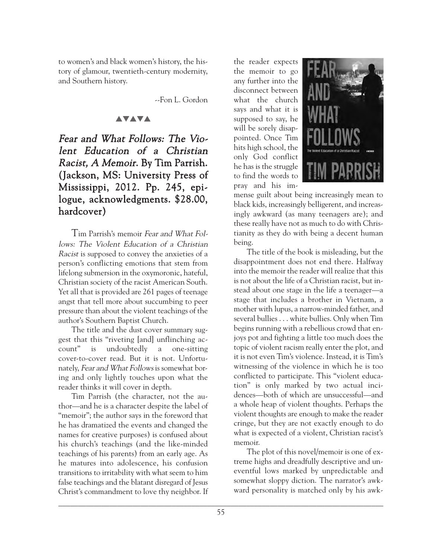to women's and black women's history, the history of glamour, twentieth-century modernity, and Southern history.

--Fon L. Gordon

#### **AVAVA**

# Fear and What Follows: The Violent Education of a Christian Racist, A Memoir. By Tim Parrish. (Jackson, MS: University Press of Mississippi, 2012. Pp. 245, epilogue, acknowledgments. \$28.00, hardcover)

Tim Parrish's memoir Fear and What Follows: The Violent Education of a Christian Racist is supposed to convey the anxieties of a person's conflicting emotions that stem from lifelong submersion in the oxymoronic, hateful, Christian society of the racist American South. Yet all that is provided are 261 pages of teenage angst that tell more about succumbing to peer pressure than about the violent teachings of the author's Southern Baptist Church.

The title and the dust cover summary suggest that this "riveting [and] unflinching account" is undoubtedly a one-sitting cover-to-cover read. But it is not. Unfortunately, Fear and What Follows is somewhat boring and only lightly touches upon what the reader thinks it will cover in depth.

Tim Parrish (the character, not the author—and he is a character despite the label of "memoir"; the author says in the foreword that he has dramatized the events and changed the names for creative purposes) is confused about his church's teachings (and the like-minded teachings of his parents) from an early age. As he matures into adolescence, his confusion transitions to irritability with what seem to him false teachings and the blatant disregard of Jesus Christ's commandment to love thy neighbor. If

the reader expects the memoir to go any further into the disconnect between what the church says and what it is supposed to say, he will be sorely disappointed. Once Tim hits high school, the only God conflict he has is the struggle to find the words to pray and his im-



mense guilt about being increasingly mean to black kids, increasingly belligerent, and increasingly awkward (as many teenagers are); and these really have not as much to do with Christianity as they do with being a decent human being.

The title of the book is misleading, but the disappointment does not end there. Halfway into the memoir the reader will realize that this is not about the life of a Christian racist, but instead about one stage in the life a teenager—a stage that includes a brother in Vietnam, a mother with lupus, a narrow-minded father, and several bullies . . . white bullies. Only when Tim begins running with a rebellious crowd that enjoys pot and fighting a little too much does the topic of violent racism really enter the plot, and it is not even Tim's violence. Instead, it is Tim's witnessing of the violence in which he is too conflicted to participate. This "violent education" is only marked by two actual incidences—both of which are unsuccessful—and a whole heap of violent thoughts. Perhaps the violent thoughts are enough to make the reader cringe, but they are not exactly enough to do what is expected of a violent, Christian racist's memoir.

The plot of this novel/memoir is one of extreme highs and dreadfully descriptive and uneventful lows marked by unpredictable and somewhat sloppy diction. The narrator's awkward personality is matched only by his awk-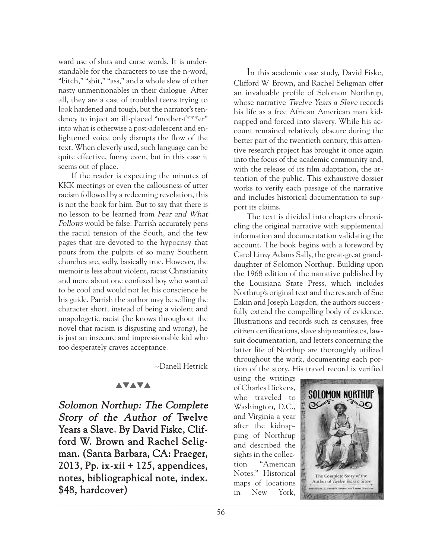ward use of slurs and curse words. It is understandable for the characters to use the n-word, "bitch," "shit," "ass," and a whole slew of other nasty unmentionables in their dialogue. After all, they are a cast of troubled teens trying to look hardened and tough, but the narrator's tendency to inject an ill-placed "mother-f\*\*\*er" into what is otherwise a post-adolescent and enlightened voice only disrupts the flow of the text. When cleverly used, such language can be quite effective, funny even, but in this case it seems out of place.

If the reader is expecting the minutes of KKK meetings or even the callousness of utter racism followed by a redeeming revelation, this is not the book for him. But to say that there is no lesson to be learned from Fear and What Follows would be false. Parrish accurately pens the racial tension of the South, and the few pages that are devoted to the hypocrisy that pours from the pulpits of so many Southern churches are, sadly, basically true. However, the memoir is less about violent, racist Christianity and more about one confused boy who wanted to be cool and would not let his conscience be his guide. Parrish the author may be selling the character short, instead of being a violent and unapologetic racist (he knows throughout the novel that racism is disgusting and wrong), he is just an insecure and impressionable kid who too desperately craves acceptance.

--Danell Hetrick

#### **AVAVA**

Solomon Northup: The Complete Story of the Author of Twelve Years a Slave. By David Fiske, Clifford W. Brown and Rachel Seligman. (Santa Barbara, CA: Praeger, 2013, Pp. ix-xii  $+$  125, appendices, notes, bibliographical note, index. \$48, hardcover)

In this academic case study, David Fiske, Clifford W. Brown, and Rachel Seligman offer an invaluable profile of Solomon Northrup, whose narrative *Twelve Years a Slave* records his life as a free African American man kidnapped and forced into slavery. While his account remained relatively obscure during the better part of the twentieth century, this attentive research project has brought it once again into the focus of the academic community and, with the release of its film adaptation, the attention of the public. This exhaustive dossier works to verify each passage of the narrative and includes historical documentation to support its claims.

The text is divided into chapters chronicling the original narrative with supplemental information and documentation validating the account. The book begins with a foreword by Carol Linzy Adams Sally, the great-great granddaughter of Solomon Northup. Building upon the 1968 edition of the narrative published by the Louisiana State Press, which includes Northrup's original text and the research of Sue Eakin and Joseph Logsdon, the authors successfully extend the compelling body of evidence. Illustrations and records such as censuses, free citizen certifications, slave ship manifestos, lawsuit documentation, and letters concerning the latter life of Northup are thoroughly utilized throughout the work, documenting each portion of the story. His travel record is verified

using the writings of Charles Dickens, who traveled to Washington, D.C., and Virginia a year after the kidnapping of Northrup and described the sights in the collection "American Notes." Historical maps of locations in New York,

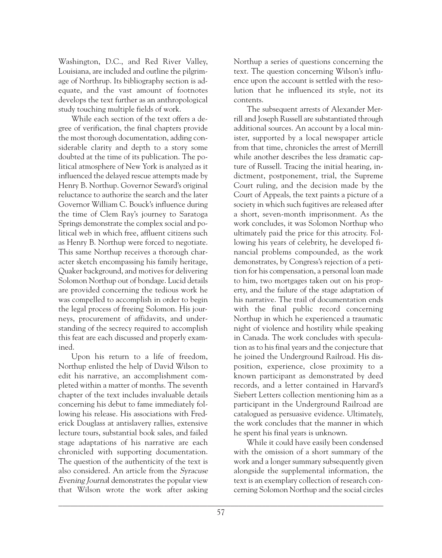Washington, D.C., and Red River Valley, Louisiana, are included and outline the pilgrimage of Northrup. Its bibliography section is adequate, and the vast amount of footnotes develops the text further as an anthropological study touching multiple fields of work.

While each section of the text offers a degree of verification, the final chapters provide the most thorough documentation, adding considerable clarity and depth to a story some doubted at the time of its publication. The political atmosphere of New York is analyzed as it influenced the delayed rescue attempts made by Henry B. Northup. Governor Seward's original reluctance to authorize the search and the later Governor William C. Bouck's influence during the time of Clem Ray's journey to Saratoga Springs demonstrate the complex social and political web in which free, affluent citizens such as Henry B. Northup were forced to negotiate. This same Northup receives a thorough character sketch encompassing his family heritage, Quaker background, and motives for delivering Solomon Northup out of bondage. Lucid details are provided concerning the tedious work he was compelled to accomplish in order to begin the legal process of freeing Solomon. His journeys, procurement of affidavits, and understanding of the secrecy required to accomplish this feat are each discussed and properly examined.

Upon his return to a life of freedom, Northup enlisted the help of David Wilson to edit his narrative, an accomplishment completed within a matter of months. The seventh chapter of the text includes invaluable details concerning his debut to fame immediately following his release. His associations with Frederick Douglass at antislavery rallies, extensive lecture tours, substantial book sales, and failed stage adaptations of his narrative are each chronicled with supporting documentation. The question of the authenticity of the text is also considered. An article from the Syracuse Evening Journal demonstrates the popular view that Wilson wrote the work after asking Northup a series of questions concerning the text. The question concerning Wilson's influence upon the account is settled with the resolution that he influenced its style, not its contents.

The subsequent arrests of Alexander Merrill and Joseph Russell are substantiated through additional sources. An account by a local minister, supported by a local newspaper article from that time, chronicles the arrest of Merrill while another describes the less dramatic capture of Russell. Tracing the initial hearing, indictment, postponement, trial, the Supreme Court ruling, and the decision made by the Court of Appeals, the text paints a picture of a society in which such fugitives are released after a short, seven-month imprisonment. As the work concludes, it was Solomon Northup who ultimately paid the price for this atrocity. Following his years of celebrity, he developed financial problems compounded, as the work demonstrates, by Congress's rejection of a petition for his compensation, a personal loan made to him, two mortgages taken out on his property, and the failure of the stage adaptation of his narrative. The trail of documentation ends with the final public record concerning Northup in which he experienced a traumatic night of violence and hostility while speaking in Canada. The work concludes with speculation as to his final years and the conjecture that he joined the Underground Railroad. His disposition, experience, close proximity to a known participant as demonstrated by deed records, and a letter contained in Harvard's Siebert Letters collection mentioning him as a participant in the Underground Railroad are catalogued as persuasive evidence. Ultimately, the work concludes that the manner in which he spent his final years is unknown.

While it could have easily been condensed with the omission of a short summary of the work and a longer summary subsequently given alongside the supplemental information, the text is an exemplary collection of research concerning Solomon Northup and the social circles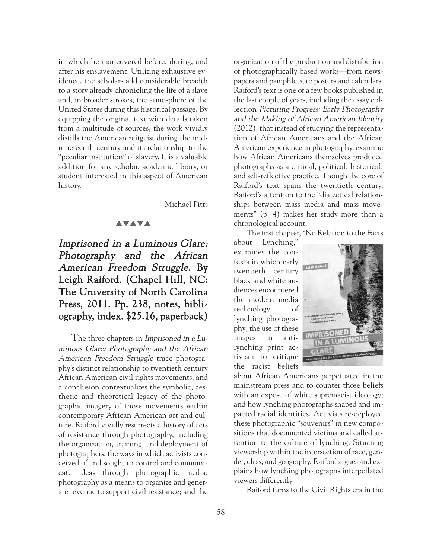in which he maneuvered before, during, and after his enslavement. Utilizing exhaustive evidence, the scholars add considerable breadth to a story already chronicling the life of a slave and, in broader strokes, the atmosphere of the United States during this historical passage. By equipping the original text with details taken from a multitude of sources, the work vividly distills the American zeitgeist during the midnineteenth century and its relationship to the "peculiar institution" of slavery. It is a valuable addition for any scholar, academic library, or student interested in this aspect of American history.

--Michael Pitts

## **AVAVA**

# Imprisoned in a Luminous Glare: Photography and the African American Freedom Struggle. By Leigh Raiford. (Chapel Hill, NC: The University of North Carolina Press, 2011. Pp. 238, notes, bibliography, index. \$25.16, paperback)

The three chapters in Imprisoned in a Luminous Glare: Photography and the African American Freedom Struggle trace photography's distinct relationship to twentieth century African American civil rights movements, and a conclusion contextualizes the symbolic, aesthetic and theoretical legacy of the photographic imagery of those movements within contemporary African American art and culture. Raiford vividly resurrects a history of acts of resistance through photography, including the organization, training, and deployment of photographers; the ways in which activists conceived of and sought to control and communicate ideas through photographic media; photography as a means to organize and generate revenue to support civil resistance; and the

organization of the production and distribution of photographically based works—from newspapers and pamphlets, to posters and calendars. Raiford's text is one of a few books published in the last couple of years, including the essay collection Picturing Progress: Early Photography and the Making of African American Identity (2012), that instead of studying the representation of African Americans and the African American experience in photography, examine how African Americans themselves produced photographs as a critical, political, historical, and self-reflective practice. Though the core of Raiford's text spans the twentieth century, Raiford's attention to the "dialectical relationships between mass media and mass movements" (p. 4) makes her study more than a chronological account.

The first chapter, "No Relation to the Facts

about Lynching," examines the contexts in which early twentieth century black and white audiences encountered the modern media technology of lynching photography; the use of these images in antilynching print activism to critique the racist beliefs



about African Americans perpetuated in the mainstream press and to counter those beliefs with an expose of white supremacist ideology; and how lynching photographs shaped and impacted racial identities. Activists re-deployed these photographic "souvenirs" in new compositions that documented victims and called attention to the culture of lynching. Situating viewership within the intersection of race, gender, class, and geography, Raiford argues and explains how lynching photographs interpellated viewers differently.

Raiford turns to the Civil Rights era in the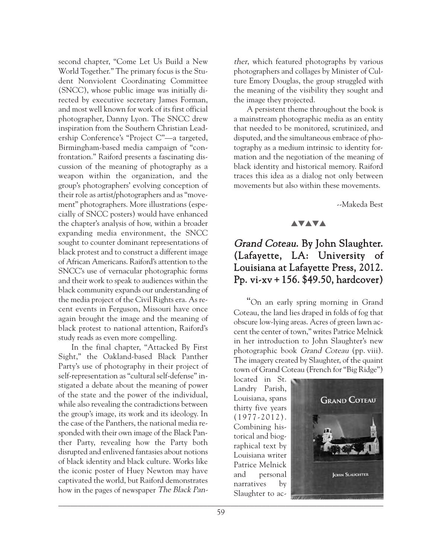second chapter, "Come Let Us Build a New World Together." The primary focus is the Student Nonviolent Coordinating Committee (SNCC), whose public image was initially directed by executive secretary James Forman, and most well known for work of its first official photographer, Danny Lyon. The SNCC drew inspiration from the Southern Christian Leadership Conference's "Project C"—a targeted, Birmingham-based media campaign of "confrontation." Raiford presents a fascinating discussion of the meaning of photography as a weapon within the organization, and the group's photographers' evolving conception of their role as artist/photographers and as "movement" photographers. More illustrations (especially of SNCC posters) would have enhanced the chapter's analysis of how, within a broader expanding media environment, the SNCC sought to counter dominant representations of black protest and to construct a different image of African Americans. Raiford's attention to the SNCC's use of vernacular photographic forms and their work to speak to audiences within the black community expands our understanding of the media project of the Civil Rights era. As recent events in Ferguson, Missouri have once again brought the image and the meaning of black protest to national attention, Raiford's study reads as even more compelling.

In the final chapter, "Attacked By First Sight," the Oakland-based Black Panther Party's use of photography in their project of self-representation as "cultural self-defense" instigated a debate about the meaning of power of the state and the power of the individual, while also revealing the contradictions between the group's image, its work and its ideology. In the case of the Panthers, the national media responded with their own image of the Black Panther Party, revealing how the Party both disrupted and enlivened fantasies about notions of black identity and black culture. Works like the iconic poster of Huey Newton may have captivated the world, but Raiford demonstrates how in the pages of newspaper The Black Panther, which featured photographs by various photographers and collages by Minister of Culture Emory Douglas, the group struggled with the meaning of the visibility they sought and the image they projected.

A persistent theme throughout the book is a mainstream photographic media as an entity that needed to be monitored, scrutinized, and disputed, and the simultaneous embrace of photography as a medium intrinsic to identity formation and the negotiation of the meaning of black identity and historical memory. Raiford traces this idea as a dialog not only between movements but also within these movements.

--Makeda Best

#### **AVAVA**

# Grand Coteau. By John Slaughter. (Lafayette, LA: University of Louisiana at Lafayette Press, 2012. Pp. vi-xv + 156. \$49.50, hardcover)

"On an early spring morning in Grand Coteau, the land lies draped in folds of fog that obscure low-lying areas. Acres of green lawn accent the center of town," writes Patrice Melnick in her introduction to John Slaughter's new photographic book Grand Coteau (pp. viii). The imagery created by Slaughter, of the quaint town of Grand Coteau (French for "Big Ridge")

located in St. Landry Parish, Louisiana, spans thirty five years (1977-2012). Combining historical and biographical text by Louisiana writer Patrice Melnick and personal narratives by Slaughter to ac-

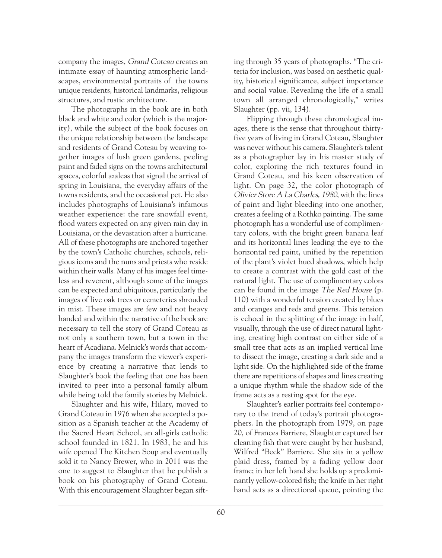company the images, Grand Coteau creates an intimate essay of haunting atmospheric landscapes, environmental portraits of the towns unique residents, historical landmarks, religious structures, and rustic architecture.

The photographs in the book are in both black and white and color (which is the majority), while the subject of the book focuses on the unique relationship between the landscape and residents of Grand Coteau by weaving together images of lush green gardens, peeling paint and faded signs on the towns architectural spaces, colorful azaleas that signal the arrival of spring in Louisiana, the everyday affairs of the towns residents, and the occasional pet. He also includes photographs of Louisiana's infamous weather experience: the rare snowfall event, flood waters expected on any given rain day in Louisiana, or the devastation after a hurricane. All of these photographs are anchored together by the town's Catholic churches, schools, religious icons and the nuns and priests who reside within their walls. Many of his images feel timeless and reverent, although some of the images can be expected and ubiquitous, particularly the images of live oak trees or cemeteries shrouded in mist. These images are few and not heavy handed and within the narrative of the book are necessary to tell the story of Grand Coteau as not only a southern town, but a town in the heart of Acadiana. Melnick's words that accompany the images transform the viewer's experience by creating a narrative that lends to Slaughter's book the feeling that one has been invited to peer into a personal family album while being told the family stories by Melnick.

Slaughter and his wife, Hilary, moved to Grand Coteau in 1976 when she accepted a position as a Spanish teacher at the Academy of the Sacred Heart School, an all-girls catholic school founded in 1821. In 1983, he and his wife opened The Kitchen Soup and eventually sold it to Nancy Brewer, who in 2011 was the one to suggest to Slaughter that he publish a book on his photography of Grand Coteau. With this encouragement Slaughter began sift-

ing through 35 years of photographs. "The criteria for inclusion, was based on aesthetic quality, historical significance, subject importance and social value. Revealing the life of a small town all arranged chronologically," writes Slaughter (pp. vii, 134).

Flipping through these chronological images, there is the sense that throughout thirtyfive years of living in Grand Coteau, Slaughter was never without his camera. Slaughter's talent as a photographer lay in his master study of color, exploring the rich textures found in Grand Coteau, and his keen observation of light. On page 32, the color photograph of Olivier Store A La Charles, 1980, with the lines of paint and light bleeding into one another, creates a feeling of a Rothko painting. The same photograph has a wonderful use of complimentary colors, with the bright green banana leaf and its horizontal lines leading the eye to the horizontal red paint, unified by the repetition of the plant's violet hued shadows, which help to create a contrast with the gold cast of the natural light. The use of complimentary colors can be found in the image The Red House (p. 110) with a wonderful tension created by blues and oranges and reds and greens. This tension is echoed in the splitting of the image in half, visually, through the use of direct natural lighting, creating high contrast on either side of a small tree that acts as an implied vertical line to dissect the image, creating a dark side and a light side. On the highlighted side of the frame there are repetitions of shapes and lines creating a unique rhythm while the shadow side of the frame acts as a resting spot for the eye.

Slaughter's earlier portraits feel contemporary to the trend of today's portrait photographers. In the photograph from 1979, on page 20, of Frances Barriere, Slaughter captured her cleaning fish that were caught by her husband, Wilfred "Beck" Barriere. She sits in a yellow plaid dress, framed by a fading yellow door frame; in her left hand she holds up a predominantly yellow-colored fish; the knife in her right hand acts as a directional queue, pointing the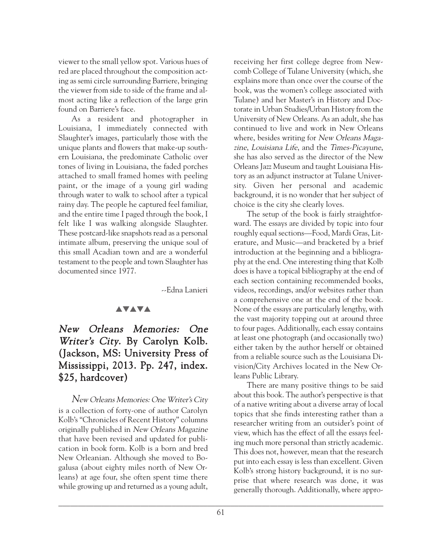viewer to the small yellow spot. Various hues of red are placed throughout the composition acting as semi circle surrounding Barriere, bringing the viewer from side to side of the frame and almost acting like a reflection of the large grin found on Barriere's face.

As a resident and photographer in Louisiana, I immediately connected with Slaughter's images, particularly those with the unique plants and flowers that make-up southern Louisiana, the predominate Catholic over tones of living in Louisiana, the faded porches attached to small framed homes with peeling paint, or the image of a young girl wading through water to walk to school after a typical rainy day. The people he captured feel familiar, and the entire time I paged through the book, I felt like I was walking alongside Slaughter. These postcard-like snapshots read as a personal intimate album, preserving the unique soul of this small Acadian town and are a wonderful testament to the people and town Slaughter has documented since 1977.

--Edna Lanieri

#### **AVAVA**

# New Orleans Memories: One Writer's City. By Carolyn Kolb. (Jackson, MS: University Press of Mississippi, 2013. Pp. 247, index. \$25, hardcover)

New Orleans Memories: One Writer's City is a collection of forty-one of author Carolyn Kolb's "Chronicles of Recent History" columns originally published in New Orleans Magazine that have been revised and updated for publication in book form. Kolb is a born and bred New Orleanian. Although she moved to Bogalusa (about eighty miles north of New Orleans) at age four, she often spent time there while growing up and returned as a young adult,

receiving her first college degree from Newcomb College of Tulane University (which, she explains more than once over the course of the book, was the women's college associated with Tulane) and her Master's in History and Doctorate in Urban Studies/Urban History from the University of New Orleans. As an adult, she has continued to live and work in New Orleans where, besides writing for New Orleans Magazine, Louisiana Life, and the Times-Picayune, she has also served as the director of the New Orleans Jazz Museum and taught Louisiana History as an adjunct instructor at Tulane University. Given her personal and academic background, it is no wonder that her subject of choice is the city she clearly loves.

The setup of the book is fairly straightforward. The essays are divided by topic into four roughly equal sections—Food, Mardi Gras, Literature, and Music—and bracketed by a brief introduction at the beginning and a bibliography at the end. One interesting thing that Kolb does is have a topical bibliography at the end of each section containing recommended books, videos, recordings, and/or websites rather than a comprehensive one at the end of the book. None of the essays are particularly lengthy, with the vast majority topping out at around three to four pages. Additionally, each essay contains at least one photograph (and occasionally two) either taken by the author herself or obtained from a reliable source such as the Louisiana Division/City Archives located in the New Orleans Public Library.

There are many positive things to be said about this book. The author's perspective is that of a native writing about a diverse array of local topics that she finds interesting rather than a researcher writing from an outsider's point of view, which has the effect of all the essays feeling much more personal than strictly academic. This does not, however, mean that the research put into each essay is less than excellent. Given Kolb's strong history background, it is no surprise that where research was done, it was generally thorough. Additionally, where appro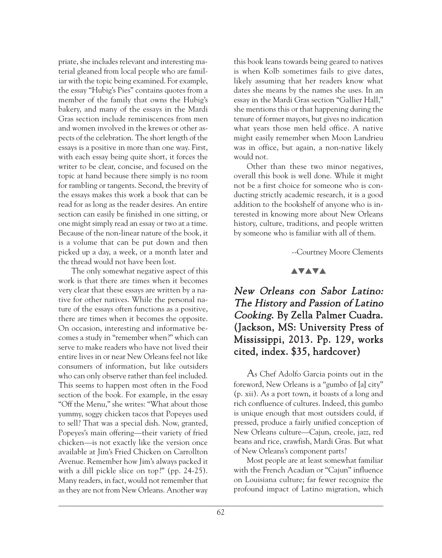priate, she includes relevant and interesting material gleaned from local people who are familiar with the topic being examined. For example, the essay "Hubig's Pies" contains quotes from a member of the family that owns the Hubig's bakery, and many of the essays in the Mardi Gras section include reminiscences from men and women involved in the krewes or other aspects of the celebration. The short length of the essays is a positive in more than one way. First, with each essay being quite short, it forces the writer to be clear, concise, and focused on the topic at hand because there simply is no room for rambling or tangents. Second, the brevity of the essays makes this work a book that can be read for as long as the reader desires. An entire section can easily be finished in one sitting, or one might simply read an essay or two at a time. Because of the non-linear nature of the book, it is a volume that can be put down and then picked up a day, a week, or a month later and the thread would not have been lost.

The only somewhat negative aspect of this work is that there are times when it becomes very clear that these essays are written by a native for other natives. While the personal nature of the essays often functions as a positive, there are times when it becomes the opposite. On occasion, interesting and informative becomes a study in "remember when?" which can serve to make readers who have not lived their entire lives in or near New Orleans feel not like consumers of information, but like outsiders who can only observe rather than feel included. This seems to happen most often in the Food section of the book. For example, in the essay "Off the Menu," she writes: "What about those yummy, soggy chicken tacos that Popeyes used to sell? That was a special dish. Now, granted, Popeyes's main offering—their variety of fried chicken—is not exactly like the version once available at Jim's Fried Chicken on Carrollton Avenue. Remember how Jim's always packed it with a dill pickle slice on top?" (pp. 24-25). Many readers, in fact, would not remember that as they are not from New Orleans. Another way

this book leans towards being geared to natives is when Kolb sometimes fails to give dates, likely assuming that her readers know what dates she means by the names she uses. In an essay in the Mardi Gras section "Gallier Hall," she mentions this or that happening during the tenure of former mayors, but gives no indication what years those men held office. A native might easily remember when Moon Landrieu was in office, but again, a non-native likely would not.

Other than these two minor negatives, overall this book is well done. While it might not be a first choice for someone who is conducting strictly academic research, it is a good addition to the bookshelf of anyone who is interested in knowing more about New Orleans history, culture, traditions, and people written by someone who is familiar with all of them.

--Courtney Moore Clements

#### **AVAVA**

# New Orleans con Sabor Latino: The History and Passion of Latino Cooking. By Zella Palmer Cuadra. (Jackson, MS: University Press of Mississippi, 2013. Pp. 129, works cited, index. \$35, hardcover)

As Chef Adolfo Garcia points out in the foreword, New Orleans is a "gumbo of [a] city" (p. xii). As a port town, it boasts of a long and rich confluence of cultures. Indeed, this gumbo is unique enough that most outsiders could, if pressed, produce a fairly unified conception of New Orleans culture—Cajun, creole, jazz, red beans and rice, crawfish, Mardi Gras. But what of New Orleans's component parts?

Most people are at least somewhat familiar with the French Acadian or "Cajun" influence on Louisiana culture; far fewer recognize the profound impact of Latino migration, which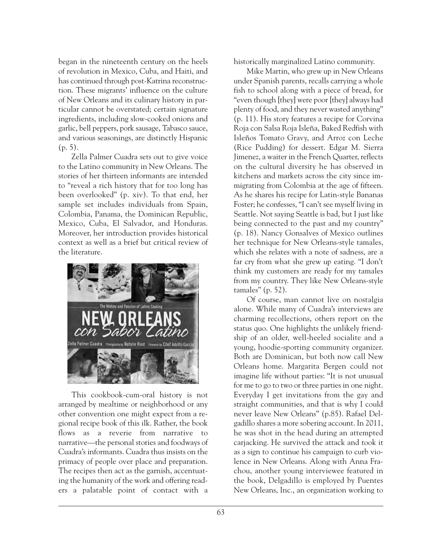began in the nineteenth century on the heels of revolution in Mexico, Cuba, and Haiti, and has continued through post-Katrina reconstruction. These migrants' influence on the culture of New Orleans and its culinary history in particular cannot be overstated; certain signature ingredients, including slow-cooked onions and garlic, bell peppers, pork sausage, Tabasco sauce, and various seasonings, are distinctly Hispanic (p. 5).

Zella Palmer Cuadra sets out to give voice to the Latino community in New Orleans. The stories of her thirteen informants are intended to "reveal a rich history that for too long has been overlooked" (p. xiv). To that end, her sample set includes individuals from Spain, Colombia, Panama, the Dominican Republic, Mexico, Cuba, El Salvador, and Honduras. Moreover, her introduction provides historical context as well as a brief but critical review of the literature.



This cookbook-cum-oral history is not arranged by mealtime or neighborhood or any other convention one might expect from a regional recipe book of this ilk. Rather, the book flows as a reverie from narrative to narrative—the personal stories and foodways of Cuadra's informants. Cuadra thus insists on the primacy of people over place and preparation. The recipes then act as the garnish, accentuating the humanity of the work and offering readers a palatable point of contact with a historically marginalized Latino community.

Mike Martin, who grew up in New Orleans under Spanish parents, recalls carrying a whole fish to school along with a piece of bread, for "even though [they] were poor [they] always had plenty of food, and they never wasted anything" (p. 11). His story features a recipe for Corvina Roja con Salsa Roja Isleña, Baked Redfish with Isleños Tomato Gravy, and Arroz con Leche (Rice Pudding) for dessert. Edgar M. Sierra Jimenez, a waiter in the French Quarter, reflects on the cultural diversity he has observed in kitchens and markets across the city since immigrating from Colombia at the age of fifteen. As he shares his recipe for Latin-style Bananas Foster; he confesses, "I can't see myself living in Seattle. Not saying Seattle is bad, but I just like being connected to the past and my country" (p. 18). Nancy Gonsalves of Mexico outlines her technique for New Orleans-style tamales, which she relates with a note of sadness, are a far cry from what she grew up eating. "I don't think my customers are ready for my tamales from my country. They like New Orleans-style tamales" (p. 52).

Of course, man cannot live on nostalgia alone. While many of Cuadra's interviews are charming recollections, others report on the status quo. One highlights the unlikely friendship of an older, well-heeled socialite and a young, hoodie-sporting community organizer. Both are Dominican, but both now call New Orleans home. Margarita Bergen could not imagine life without parties: "It is not unusual for me to go to two or three parties in one night. Everyday I get invitations from the gay and straight communities, and that is why I could never leave New Orleans" (p.85). Rafael Delgadillo shares a more sobering account. In 2011, he was shot in the head during an attempted carjacking. He survived the attack and took it as a sign to continue his campaign to curb violence in New Orleans. Along with Anna Frachou, another young interviewee featured in the book, Delgadillo is employed by Puentes New Orleans, Inc., an organization working to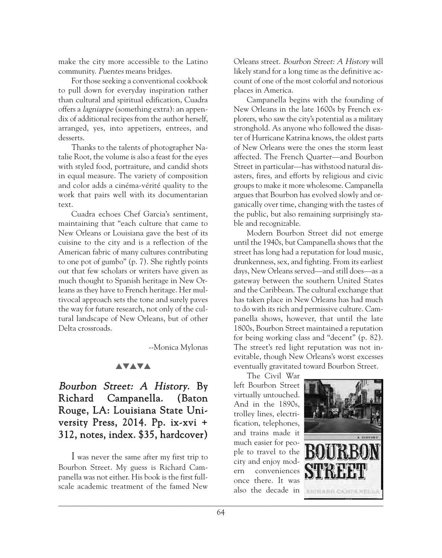make the city more accessible to the Latino community. Puentes means bridges.

For those seeking a conventional cookbook to pull down for everyday inspiration rather than cultural and spiritual edification, Cuadra offers a lagniappe (something extra): an appendix of additional recipes from the author herself, arranged, yes, into appetizers, entrees, and desserts.

Thanks to the talents of photographer Natalie Root, the volume is also a feast for the eyes with styled food, portraiture, and candid shots in equal measure. The variety of composition and color adds a cinéma-vérité quality to the work that pairs well with its documentarian text.

Cuadra echoes Chef Garcia's sentiment, maintaining that "each culture that came to New Orleans or Louisiana gave the best of its cuisine to the city and is a reflection of the American fabric of many cultures contributing to one pot of gumbo" (p. 7). She rightly points out that few scholars or writers have given as much thought to Spanish heritage in New Orleans as they have to French heritage. Her multivocal approach sets the tone and surely paves the way for future research, not only of the cultural landscape of New Orleans, but of other Delta crossroads.

--Monica Mylonas

#### **AVAVA**

# Bourbon Street: A History. By Richard Campanella. (Baton Rouge, LA: Louisiana State University Press, 2014. Pp. ix-xvi + 312, notes, index. \$35, hardcover)

I was never the same after my first trip to Bourbon Street. My guess is Richard Campanella was not either. His book is the first fullscale academic treatment of the famed New

Orleans street. Bourbon Street: A History will likely stand for a long time as the definitive account of one of the most colorful and notorious places in America.

Campanella begins with the founding of New Orleans in the late 1600s by French explorers, who saw the city's potential as a military stronghold. As anyone who followed the disaster of Hurricane Katrina knows, the oldest parts of New Orleans were the ones the storm least affected. The French Quarter—and Bourbon Street in particular—has withstood natural disasters, fires, and efforts by religious and civic groups to make it more wholesome. Campanella argues that Bourbon has evolved slowly and organically over time, changing with the tastes of the public, but also remaining surprisingly stable and recognizable.

Modern Bourbon Street did not emerge until the 1940s, but Campanella shows that the street has long had a reputation for loud music, drunkenness, sex, and fighting. From its earliest days, New Orleans served—and still does—as a gateway between the southern United States and the Caribbean. The cultural exchange that has taken place in New Orleans has had much to do with its rich and permissive culture. Campanella shows, however, that until the late 1800s, Bourbon Street maintained a reputation for being working class and "decent" (p. 82). The street's red light reputation was not inevitable, though New Orleans's worst excesses eventually gravitated toward Bourbon Street.

The Civil War left Bourbon Street virtually untouched. And in the 1890s, trolley lines, electrification, telephones, and trains made it much easier for people to travel to the city and enjoy modern conveniences once there. It was also the decade in

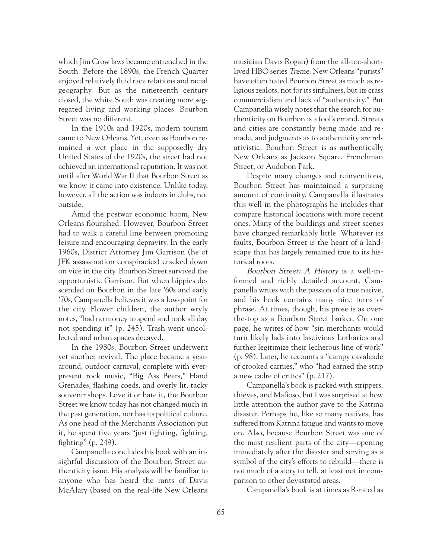which Jim Crow laws became entrenched in the South. Before the 1890s, the French Quarter enjoyed relatively fluid race relations and racial geography. But as the nineteenth century closed, the white South was creating more segregated living and working places. Bourbon Street was no different.

In the 1910s and 1920s, modern tourism came to New Orleans. Yet, even as Bourbon remained a wet place in the supposedly dry United States of the 1920s, the street had not achieved an international reputation. It was not until after World War II that Bourbon Street as we know it came into existence. Unlike today, however, all the action was indoors in clubs, not outside.

Amid the postwar economic boom, New Orleans flourished. However, Bourbon Street had to walk a careful line between promoting leisure and encouraging depravity. In the early 1960s, District Attorney Jim Garrison (he of JFK assassination conspiracies) cracked down on vice in the city. Bourbon Street survived the opportunistic Garrison. But when hippies descended on Bourbon in the late '60s and early '70s, Campanella believes it was a low-point for the city. Flower children, the author wryly notes, "had no money to spend and took all day not spending it" (p. 245). Trash went uncollected and urban spaces decayed.

In the 1980s, Bourbon Street underwent yet another revival. The place became a yeararound, outdoor carnival, complete with everpresent rock music, "Big Ass Beers," Hand Grenades, flashing coeds, and overly lit, tacky souvenir shops. Love it or hate it, the Bourbon Street we know today has not changed much in the past generation, nor has its political culture. As one head of the Merchants Association put it, he spent five years "just fighting, fighting, fighting" (p. 249).

Campanella concludes his book with an insightful discussion of the Bourbon Street authenticity issue. His analysis will be familiar to anyone who has heard the rants of Davis McAlary (based on the real-life New Orleans musician Davis Rogan) from the all-too-shortlived HBO series Treme. New Orleans "purists" have often hated Bourbon Street as much as religious zealots, not for its sinfulness, but its crass commercialism and lack of "authenticity." But Campanella wisely notes that the search for authenticity on Bourbon is a fool's errand. Streets and cities are constantly being made and remade, and judgments as to authenticity are relativistic. Bourbon Street is as authentically New Orleans as Jackson Square, Frenchman Street, or Audubon Park.

Despite many changes and reinventions, Bourbon Street has maintained a surprising amount of continuity. Campanella illustrates this well in the photographs he includes that compare historical locations with more recent ones. Many of the buildings and street scenes have changed remarkably little. Whatever its faults, Bourbon Street is the heart of a landscape that has largely remained true to its historical roots.

Bourbon Street: A History is a well-informed and richly detailed account. Campanella writes with the passion of a true native, and his book contains many nice turns of phrase. At times, though, his prose is as overthe-top as a Bourbon Street barker. On one page, he writes of how "sin merchants would turn likely lads into lascivious Lotharios and further legitimize their lecherous line of work" (p. 98). Later, he recounts a "campy cavalcade of crooked carnies," who "had earned the strip a new cadre of critics" (p. 217).

Campanella's book is packed with strippers, thieves, and Mafioso, but I was surprised at how little attention the author gave to the Katrina disaster. Perhaps he, like so many natives, has suffered from Katrina fatigue and wants to move on. Also, because Bourbon Street was one of the most resilient parts of the city—opening immediately after the disaster and serving as a symbol of the city's efforts to rebuild—there is not much of a story to tell, at least not in comparison to other devastated areas.

Campanella's book is at times as R-rated as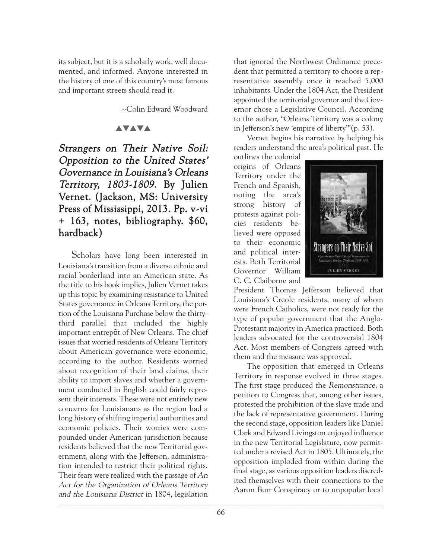its subject, but it is a scholarly work, well documented, and informed. Anyone interested in the history of one of this country's most famous and important streets should read it.

--Colin Edward Woodward

#### **AVAVA**

Strangers on Their Native Soil: Opposition to the United States' Governance in Louisiana's Orleans Territory, 1803-1809. By Julien Vernet. (Jackson, MS: University Press of Mississippi, 2013. Pp. v-vi + 163, notes, bibliography. \$60, hardback)

Scholars have long been interested in Louisiana's transition from a diverse ethnic and racial borderland into an American state. As the title to his book implies, Julien Vernet takes up this topic by examining resistance to United States governance in Orleans Territory, the portion of the Louisiana Purchase below the thirtythird parallel that included the highly important entrepôt of New Orleans. The chief issues that worried residents of Orleans Territory about American governance were economic, according to the author. Residents worried about recognition of their land claims, their ability to import slaves and whether a government conducted in English could fairly represent their interests. These were not entirely new concerns for Louisianans as the region had a long history of shifting imperial authorities and economic policies. Their worries were compounded under American jurisdiction because residents believed that the new Territorial government, along with the Jefferson, administration intended to restrict their political rights. Their fears were realized with the passage of An Act for the Organization of Orleans Territory and the Louisiana District in 1804, legislation \_\_\_\_\_\_\_\_\_\_\_\_\_\_\_\_\_\_\_\_\_\_\_\_\_\_\_\_\_\_\_\_\_\_\_\_\_\_\_\_\_\_\_\_\_\_\_\_\_\_\_\_\_\_\_\_\_\_\_\_\_\_\_\_\_\_\_\_\_\_\_\_\_\_\_\_\_\_\_\_\_\_\_

that ignored the Northwest Ordinance precedent that permitted a territory to choose a representative assembly once it reached 5,000 inhabitants. Under the 1804 Act, the President appointed the territorial governor and the Governor chose a Legislative Council. According to the author, "Orleans Territory was a colony in Jefferson's new 'empire of liberty'"(p. 53).

Vernet begins his narrative by helping his readers understand the area's political past. He

outlines the colonial origins of Orleans Territory under the French and Spanish, noting the area's strong history of protests against policies residents believed were opposed to their economic and political interests. Both Territorial Governor William C. C. Claiborne and



President Thomas Jefferson believed that Louisiana's Creole residents, many of whom were French Catholics, were not ready for the type of popular government that the Anglo-Protestant majority in America practiced. Both leaders advocated for the controversial 1804 Act. Most members of Congress agreed with them and the measure was approved.

The opposition that emerged in Orleans Territory in response evolved in three stages. The first stage produced the Remonstrance, a petition to Congress that, among other issues, protested the prohibition of the slave trade and the lack of representative government. During the second stage, opposition leaders like Daniel Clark and Edward Livingston enjoyed influence in the new Territorial Legislature, now permitted under a revised Act in 1805. Ultimately, the opposition imploded from within during the final stage, as various opposition leaders discredited themselves with their connections to the Aaron Burr Conspiracy or to unpopular local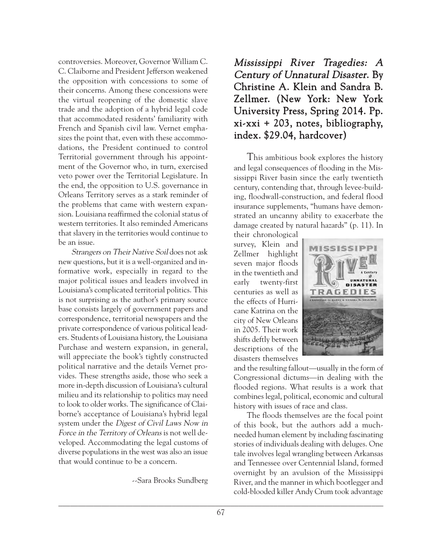controversies. Moreover, Governor William C. C. Claiborne and President Jefferson weakened the opposition with concessions to some of their concerns. Among these concessions were the virtual reopening of the domestic slave trade and the adoption of a hybrid legal code that accommodated residents' familiarity with French and Spanish civil law. Vernet emphasizes the point that, even with these accommodations, the President continued to control Territorial government through his appointment of the Governor who, in turn, exercised veto power over the Territorial Legislature. In the end, the opposition to U.S. governance in Orleans Territory serves as a stark reminder of the problems that came with western expansion. Louisiana reaffirmed the colonial status of western territories. It also reminded Americans that slavery in the territories would continue to be an issue.

Strangers on Their Native Soil does not ask new questions, but it is a well-organized and informative work, especially in regard to the major political issues and leaders involved in Louisiana's complicated territorial politics. This is not surprising as the author's primary source base consists largely of government papers and correspondence, territorial newspapers and the private correspondence of various political leaders. Students of Louisiana history, the Louisiana Purchase and western expansion, in general, will appreciate the book's tightly constructed political narrative and the details Vernet provides. These strengths aside, those who seek a more in-depth discussion of Louisiana's cultural milieu and its relationship to politics may need to look to older works. The significance of Claiborne's acceptance of Louisiana's hybrid legal system under the Digest of Civil Laws Now in Force in the Territory of Orleans is not well developed. Accommodating the legal customs of diverse populations in the west was also an issue that would continue to be a concern.

--Sara Brooks Sundberg

# Mississippi River Tragedies: A Century of Unnatural Disaster. By Christine A. Klein and Sandra B. Zellmer. (New York: New York University Press, Spring 2014. Pp. xi-xxi + 203, notes, bibliography, index. \$29.04, hardcover)

This ambitious book explores the history and legal consequences of flooding in the Mississippi River basin since the early twentieth century, contending that, through levee-building, floodwall-construction, and federal flood insurance supplements, "humans have demonstrated an uncanny ability to exacerbate the damage created by natural hazards" (p. 11). In

their chronological survey, Klein and Zellmer highlight seven major floods in the twentieth and early twenty-first centuries as well as the effects of Hurricane Katrina on the city of New Orleans in 2005. Their work shifts deftly between descriptions of the disasters themselves



and the resulting fallout—usually in the form of Congressional dictums—in dealing with the flooded regions. What results is a work that combines legal, political, economic and cultural history with issues of race and class.

The floods themselves are the focal point of this book, but the authors add a muchneeded human element by including fascinating stories of individuals dealing with deluges. One tale involves legal wrangling between Arkansas and Tennessee over Centennial Island, formed overnight by an avulsion of the Mississippi River, and the manner in which bootlegger and cold-blooded killer Andy Crum took advantage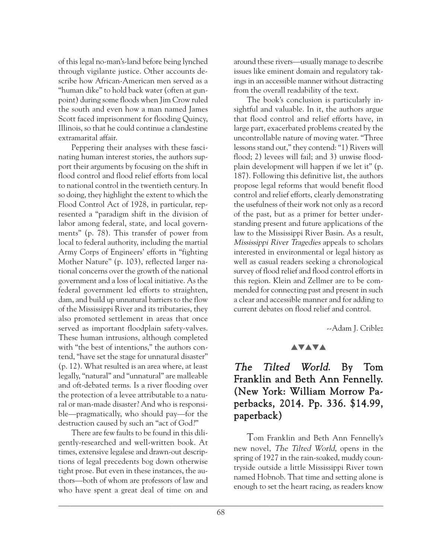of this legal no-man's-land before being lynched through vigilante justice. Other accounts describe how African-American men served as a "human dike" to hold back water (often at gunpoint) during some floods when Jim Crow ruled the south and even how a man named James Scott faced imprisonment for flooding Quincy, Illinois, so that he could continue a clandestine extramarital affair.

Peppering their analyses with these fascinating human interest stories, the authors support their arguments by focusing on the shift in flood control and flood relief efforts from local to national control in the twentieth century. In so doing, they highlight the extent to which the Flood Control Act of 1928, in particular, represented a "paradigm shift in the division of labor among federal, state, and local governments" (p. 78). This transfer of power from local to federal authority, including the martial Army Corps of Engineers' efforts in "fighting Mother Nature" (p. 103), reflected larger national concerns over the growth of the national government and a loss of local initiative. As the federal government led efforts to straighten, dam, and build up unnatural barriers to the flow of the Mississippi River and its tributaries, they also promoted settlement in areas that once served as important floodplain safety-valves. These human intrusions, although completed with "the best of intentions," the authors contend, "have set the stage for unnatural disaster" (p. 12). What resulted is an area where, at least legally, "natural" and "unnatural" are malleable and oft-debated terms. Is a river flooding over the protection of a levee attributable to a natural or man-made disaster? And who is responsible—pragmatically, who should pay—for the destruction caused by such an "act of God?"

There are few faults to be found in this diligently-researched and well-written book. At times, extensive legalese and drawn-out descriptions of legal precedents bog down otherwise tight prose. But even in these instances, the authors—both of whom are professors of law and who have spent a great deal of time on and

around these rivers—usually manage to describe issues like eminent domain and regulatory takings in an accessible manner without distracting from the overall readability of the text.

The book's conclusion is particularly insightful and valuable. In it, the authors argue that flood control and relief efforts have, in large part, exacerbated problems created by the uncontrollable nature of moving water. "Three lessons stand out," they contend: "1) Rivers will flood; 2) levees will fail; and 3) unwise floodplain development will happen if we let it" (p. 187). Following this definitive list, the authors propose legal reforms that would benefit flood control and relief efforts, clearly demonstrating the usefulness of their work not only as a record of the past, but as a primer for better understanding present and future applications of the law to the Mississippi River Basin. As a result, Mississippi River Tragedies appeals to scholars interested in environmental or legal history as well as casual readers seeking a chronological survey of flood relief and flood control efforts in this region. Klein and Zellmer are to be commended for connecting past and present in such a clear and accessible manner and for adding to current debates on flood relief and control.

--Adam J. Criblez

#### **AVAVA**

# The Tilted World. By Tom Franklin and Beth Ann Fennelly. (New York: William Morrow Paperbacks, 2014. Pp. 336. \$14.99, paperback)

Tom Franklin and Beth Ann Fennelly's new novel, The Tilted World, opens in the spring of 1927 in the rain-soaked, muddy countryside outside a little Mississippi River town named Hobnob. That time and setting alone is enough to set the heart racing, as readers know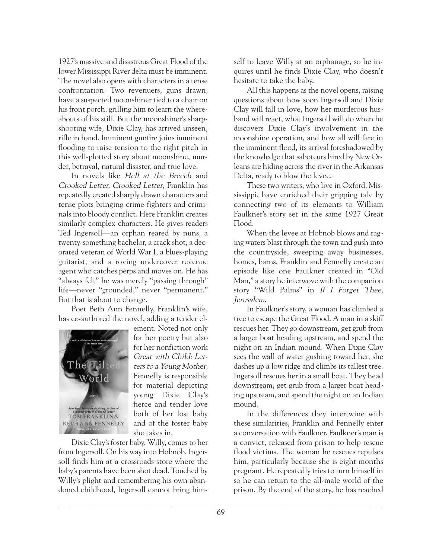1927's massive and disastrous Great Flood of the lower Mississippi River delta must be imminent. The novel also opens with characters in a tense confrontation. Two revenuers, guns drawn, have a suspected moonshiner tied to a chair on his front porch, grilling him to learn the whereabouts of his still. But the moonshiner's sharpshooting wife, Dixie Clay, has arrived unseen, rifle in hand. Imminent gunfire joins imminent flooding to raise tension to the right pitch in this well-plotted story about moonshine, murder, betrayal, natural disaster, and true love.

In novels like Hell at the Breech and Crooked Letter, Crooked Letter, Franklin has repeatedly created sharply drawn characters and tense plots bringing crime-fighters and criminals into bloody conflict. Here Franklin creates similarly complex characters. He gives readers Ted Ingersoll—an orphan reared by nuns, a twenty-something bachelor, a crack shot, a decorated veteran of World War I, a blues-playing guitarist, and a roving undercover revenue agent who catches perps and moves on. He has "always felt" he was merely "passing through" life—never "grounded," never "permanent." But that is about to change.

Poet Beth Ann Fennelly, Franklin's wife, has co-authored the novel, adding a tender el-



ement. Noted not only for her poetry but also for her nonfiction work Great with Child: Letters to a Young Mother, Fennelly is responsible for material depicting young Dixie Clay's fierce and tender love both of her lost baby and of the foster baby she takes in.

Dixie Clay's foster baby, Willy, comes to her from Ingersoll. On his way into Hobnob, Ingersoll finds him at a crossroads store where the baby's parents have been shot dead. Touched by Willy's plight and remembering his own abandoned childhood, Ingersoll cannot bring himself to leave Willy at an orphanage, so he inquires until he finds Dixie Clay, who doesn't hesitate to take the baby.

All this happens as the novel opens, raising questions about how soon Ingersoll and Dixie Clay will fall in love, how her murderous husband will react, what Ingersoll will do when he discovers Dixie Clay's involvement in the moonshine operation, and how all will fare in the imminent flood, its arrival foreshadowed by the knowledge that saboteurs hired by New Orleans are hiding across the river in the Arkansas Delta, ready to blow the levee.

These two writers, who live in Oxford, Mississippi, have enriched their gripping tale by connecting two of its elements to William Faulkner's story set in the same 1927 Great Flood.

When the levee at Hobnob blows and raging waters blast through the town and gush into the countryside, sweeping away businesses, homes, barns, Franklin and Fennelly create an episode like one Faulkner created in "Old Man," a story he interwove with the companion story "Wild Palms" in If I Forget Thee, Jerusalem.

In Faulkner's story, a woman has climbed a tree to escape the Great Flood. A man in a skiff rescues her. They go downstream, get grub from a larger boat heading upstream, and spend the night on an Indian mound. When Dixie Clay sees the wall of water gushing toward her, she dashes up a low ridge and climbs its tallest tree. Ingersoll rescues her in a small boat. They head downstream, get grub from a larger boat heading upstream, and spend the night on an Indian mound.

In the differences they intertwine with these similarities, Franklin and Fennelly enter a conversation with Faulkner. Faulkner's man is a convict, released from prison to help rescue flood victims. The woman he rescues repulses him, particularly because she is eight months pregnant. He repeatedly tries to turn himself in so he can return to the all-male world of the prison. By the end of the story, he has reached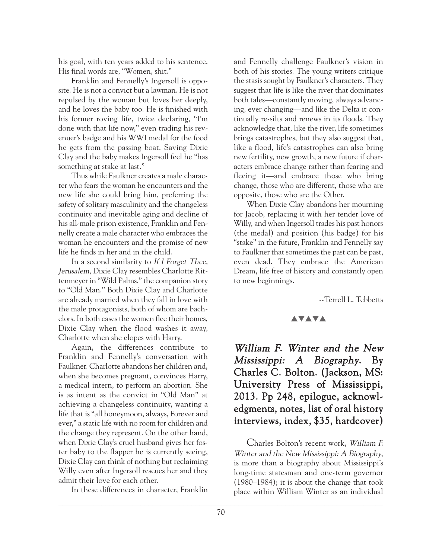his goal, with ten years added to his sentence. His final words are, "Women, shit."

Franklin and Fennelly's Ingersoll is opposite. He is not a convict but a lawman. He is not repulsed by the woman but loves her deeply, and he loves the baby too. He is finished with his former roving life, twice declaring, "I'm done with that life now," even trading his revenuer's badge and his WWI medal for the food he gets from the passing boat. Saving Dixie Clay and the baby makes Ingersoll feel he "has something at stake at last."

Thus while Faulkner creates a male character who fears the woman he encounters and the new life she could bring him, preferring the safety of solitary masculinity and the changeless continuity and inevitable aging and decline of his all-male prison existence, Franklin and Fennelly create a male character who embraces the woman he encounters and the promise of new life he finds in her and in the child.

In a second similarity to If I Forget Thee, Jerusalem, Dixie Clay resembles Charlotte Rittenmeyer in "Wild Palms," the companion story to "Old Man." Both Dixie Clay and Charlotte are already married when they fall in love with the male protagonists, both of whom are bachelors. In both cases the women flee their homes, Dixie Clay when the flood washes it away, Charlotte when she elopes with Harry.

Again, the differences contribute to Franklin and Fennelly's conversation with Faulkner. Charlotte abandons her children and, when she becomes pregnant, convinces Harry, a medical intern, to perform an abortion. She is as intent as the convict in "Old Man" at achieving a changeless continuity, wanting a life that is "all honeymoon, always, Forever and ever," a static life with no room for children and the change they represent. On the other hand, when Dixie Clay's cruel husband gives her foster baby to the flapper he is currently seeing, Dixie Clay can think of nothing but reclaiming Willy even after Ingersoll rescues her and they admit their love for each other.

In these differences in character, Franklin

and Fennelly challenge Faulkner's vision in both of his stories. The young writers critique the stasis sought by Faulkner's characters. They suggest that life is like the river that dominates both tales—constantly moving, always advancing, ever changing—and like the Delta it continually re-silts and renews in its floods. They acknowledge that, like the river, life sometimes brings catastrophes, but they also suggest that, like a flood, life's catastrophes can also bring new fertility, new growth, a new future if characters embrace change rather than fearing and fleeing it—and embrace those who bring change, those who are different, those who are opposite, those who are the Other.

When Dixie Clay abandons her mourning for Jacob, replacing it with her tender love of Willy, and when Ingersoll trades his past honors (the medal) and position (his badge) for his "stake" in the future, Franklin and Fennelly say to Faulkner that sometimes the past can be past, even dead. They embrace the American Dream, life free of history and constantly open to new beginnings.

--Terrell L. Tebbetts

## **AVAVA**

William F. Winter and the New Mississippi: A Biography. By Charles C. Bolton. (Jackson, MS: University Press of Mississippi, 2013. Pp 248, epilogue, acknowledgments, notes, list of oral history interviews, index, \$35, hardcover)

Charles Bolton's recent work, William F. Winter and the New Mississippi: A Biography, is more than a biography about Mississippi's long-time statesman and one-term governor (1980–1984); it is about the change that took place within William Winter as an individual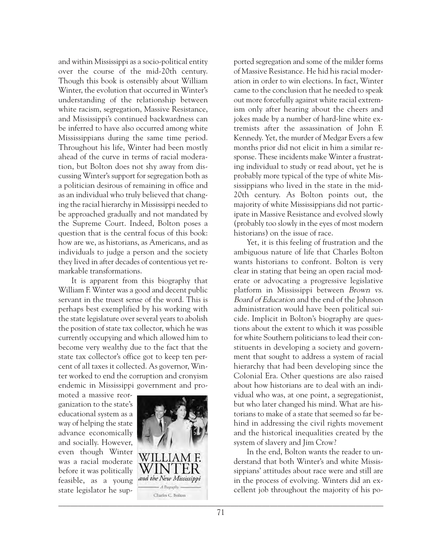and within Mississippi as a socio-political entity over the course of the mid-20th century. Though this book is ostensibly about William Winter, the evolution that occurred in Winter's understanding of the relationship between white racism, segregation, Massive Resistance, and Mississippi's continued backwardness can be inferred to have also occurred among white Mississippians during the same time period. Throughout his life, Winter had been mostly ahead of the curve in terms of racial moderation, but Bolton does not shy away from discussing Winter's support for segregation both as a politician desirous of remaining in office and as an individual who truly believed that changing the racial hierarchy in Mississippi needed to be approached gradually and not mandated by the Supreme Court. Indeed, Bolton poses a question that is the central focus of this book: how are we, as historians, as Americans, and as individuals to judge a person and the society they lived in after decades of contentious yet remarkable transformations.

It is apparent from this biography that William F. Winter was a good and decent public servant in the truest sense of the word. This is perhaps best exemplified by his working with the state legislature over several years to abolish the position of state tax collector, which he was currently occupying and which allowed him to become very wealthy due to the fact that the state tax collector's office got to keep ten percent of all taxes it collected. As governor, Winter worked to end the corruption and cronyism endemic in Mississippi government and pro-

moted a massive reorganization to the state's educational system as a way of helping the state advance economically and socially. However, even though Winter was a racial moderate before it was politically feasible, as a young state legislator he sup-



ported segregation and some of the milder forms of Massive Resistance. He hid his racial moderation in order to win elections. In fact, Winter came to the conclusion that he needed to speak out more forcefully against white racial extremism only after hearing about the cheers and jokes made by a number of hard-line white extremists after the assassination of John F. Kennedy. Yet, the murder of Medgar Evers a few months prior did not elicit in him a similar response. These incidents make Winter a frustrating individual to study or read about, yet he is probably more typical of the type of white Mississippians who lived in the state in the mid-20th century. As Bolton points out, the majority of white Mississippians did not participate in Massive Resistance and evolved slowly (probably too slowly in the eyes of most modern historians) on the issue of race.

Yet, it is this feeling of frustration and the ambiguous nature of life that Charles Bolton wants historians to confront. Bolton is very clear in stating that being an open racial moderate or advocating a progressive legislative platform in Mississippi between Brown vs. Board of Education and the end of the Johnson administration would have been political suicide. Implicit in Bolton's biography are questions about the extent to which it was possible for white Southern politicians to lead their constituents in developing a society and government that sought to address a system of racial hierarchy that had been developing since the Colonial Era. Other questions are also raised about how historians are to deal with an individual who was, at one point, a segregationist, but who later changed his mind. What are historians to make of a state that seemed so far behind in addressing the civil rights movement and the historical inequalities created by the system of slavery and Jim Crow?

In the end, Bolton wants the reader to understand that both Winter's and white Mississippians' attitudes about race were and still are in the process of evolving. Winters did an excellent job throughout the majority of his po-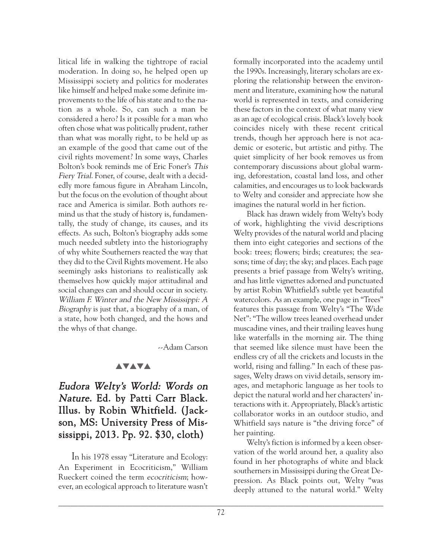litical life in walking the tightrope of racial moderation. In doing so, he helped open up Mississippi society and politics for moderates like himself and helped make some definite improvements to the life of his state and to the nation as a whole. So, can such a man be considered a hero? Is it possible for a man who often chose what was politically prudent, rather than what was morally right, to be held up as an example of the good that came out of the civil rights movement? In some ways, Charles Bolton's book reminds me of Eric Foner's This Fiery Trial. Foner, of course, dealt with a decidedly more famous figure in Abraham Lincoln, but the focus on the evolution of thought about race and America is similar. Both authors remind us that the study of history is, fundamentally, the study of change, its causes, and its effects. As such, Bolton's biography adds some much needed subtlety into the historiography of why white Southerners reacted the way that they did to the Civil Rights movement. He also seemingly asks historians to realistically ask themselves how quickly major attitudinal and social changes can and should occur in society. William F. Winter and the New Mississippi: A Biography is just that, a biography of a man, of a state, how both changed, and the hows and the whys of that change.

--Adam Carson

#### **AVAVA**

# Eudora Welty's World: Words on Nature. Ed. by Patti Carr Black. Illus. by Robin Whitfield. (Jackson, MS: University Press of Mississippi, 2013. Pp. 92. \$30, cloth)

In his 1978 essay "Literature and Ecology: An Experiment in Ecocriticism," William Rueckert coined the term ecocriticism; however, an ecological approach to literature wasn't

formally incorporated into the academy until the 1990s. Increasingly, literary scholars are exploring the relationship between the environment and literature, examining how the natural world is represented in texts, and considering these factors in the context of what many view as an age of ecological crisis. Black's lovely book coincides nicely with these recent critical trends, though her approach here is not academic or esoteric, but artistic and pithy. The quiet simplicity of her book removes us from contemporary discussions about global warming, deforestation, coastal land loss, and other calamities, and encourages us to look backwards to Welty and consider and appreciate how she imagines the natural world in her fiction.

Black has drawn widely from Welty's body of work, highlighting the vivid descriptions Welty provides of the natural world and placing them into eight categories and sections of the book: trees; flowers; birds; creatures; the seasons; time of day; the sky; and places. Each page presents a brief passage from Welty's writing, and has little vignettes adorned and punctuated by artist Robin Whitfield's subtle yet beautiful watercolors. As an example, one page in "Trees" features this passage from Welty's "The Wide Net": "The willow trees leaned overhead under muscadine vines, and their trailing leaves hung like waterfalls in the morning air. The thing that seemed like silence must have been the endless cry of all the crickets and locusts in the world, rising and falling." In each of these passages, Welty draws on vivid details, sensory images, and metaphoric language as her tools to depict the natural world and her characters' interactions with it. Appropriately, Black's artistic collaborator works in an outdoor studio, and Whitfield says nature is "the driving force" of her painting.

Welty's fiction is informed by a keen observation of the world around her, a quality also found in her photographs of white and black southerners in Mississippi during the Great Depression. As Black points out, Welty "was deeply attuned to the natural world." Welty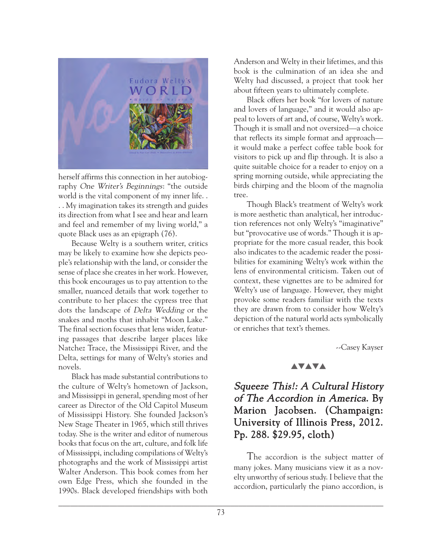

herself affirms this connection in her autobiography One Writer's Beginnings: "the outside world is the vital component of my inner life. . . . My imagination takes its strength and guides its direction from what I see and hear and learn and feel and remember of my living world," a quote Black uses as an epigraph (76).

Because Welty is a southern writer, critics may be likely to examine how she depicts people's relationship with the land, or consider the sense of place she creates in her work. However, this book encourages us to pay attention to the smaller, nuanced details that work together to contribute to her places: the cypress tree that dots the landscape of Delta Wedding or the snakes and moths that inhabit "Moon Lake." The final section focuses that lens wider, featuring passages that describe larger places like Natchez Trace, the Mississippi River, and the Delta, settings for many of Welty's stories and novels.

Black has made substantial contributions to the culture of Welty's hometown of Jackson, and Mississippi in general, spending most of her career as Director of the Old Capitol Museum of Mississippi History. She founded Jackson's New Stage Theater in 1965, which still thrives today. She is the writer and editor of numerous books that focus on the art, culture, and folk life of Mississippi, including compilations of Welty's photographs and the work of Mississippi artist Walter Anderson. This book comes from her own Edge Press, which she founded in the 1990s. Black developed friendships with both

Anderson and Welty in their lifetimes, and this book is the culmination of an idea she and Welty had discussed, a project that took her about fifteen years to ultimately complete.

Black offers her book "for lovers of nature and lovers of language," and it would also appeal to lovers of art and, of course, Welty's work. Though it is small and not oversized—a choice that reflects its simple format and approach it would make a perfect coffee table book for visitors to pick up and flip through. It is also a quite suitable choice for a reader to enjoy on a spring morning outside, while appreciating the birds chirping and the bloom of the magnolia tree.

Though Black's treatment of Welty's work is more aesthetic than analytical, her introduction references not only Welty's "imaginative" but "provocative use of words." Though it is appropriate for the more casual reader, this book also indicates to the academic reader the possibilities for examining Welty's work within the lens of environmental criticism. Taken out of context, these vignettes are to be admired for Welty's use of language. However, they might provoke some readers familiar with the texts they are drawn from to consider how Welty's depiction of the natural world acts symbolically or enriches that text's themes.

--Casey Kayser

#### **AVAVA**

# Squeeze This!: A Cultural History of The Accordion in America. By Marion Jacobsen. (Champaign: University of Illinois Press, 2012. Pp. 288. \$29.95, cloth)

The accordion is the subject matter of many jokes. Many musicians view it as a novelty unworthy of serious study. I believe that the accordion, particularly the piano accordion, is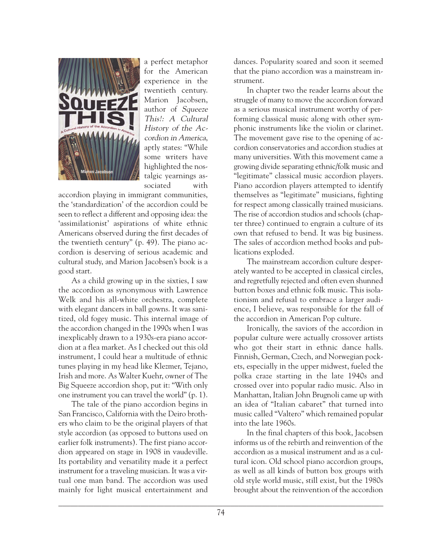

a perfect metaphor for the American experience in the twentieth century. Marion Jacobsen, author of Squeeze This!: A Cultural History of the Accordion in America, aptly states: "While some writers have highlighted the nostalgic yearnings associated with

accordion playing in immigrant communities, the 'standardization' of the accordion could be seen to reflect a different and opposing idea: the 'assimilationist' aspirations of white ethnic Americans observed during the first decades of the twentieth century" (p. 49). The piano accordion is deserving of serious academic and cultural study, and Marion Jacobsen's book is a good start.

As a child growing up in the sixties, I saw the accordion as synonymous with Lawrence Welk and his all-white orchestra, complete with elegant dancers in ball gowns. It was sanitized, old fogey music. This internal image of the accordion changed in the 1990s when I was inexplicably drawn to a 1930s-era piano accordion at a flea market. As I checked out this old instrument, I could hear a multitude of ethnic tunes playing in my head like Klezmer, Tejano, Irish and more. As Walter Kuehr, owner of The Big Squeeze accordion shop, put it: "With only one instrument you can travel the world" (p. 1).

The tale of the piano accordion begins in San Francisco, California with the Deiro brothers who claim to be the original players of that style accordion (as opposed to buttons used on earlier folk instruments). The first piano accordion appeared on stage in 1908 in vaudeville. Its portability and versatility made it a perfect instrument for a traveling musician. It was a virtual one man band. The accordion was used mainly for light musical entertainment and

dances. Popularity soared and soon it seemed that the piano accordion was a mainstream instrument.

In chapter two the reader learns about the struggle of many to move the accordion forward as a serious musical instrument worthy of performing classical music along with other symphonic instruments like the violin or clarinet. The movement gave rise to the opening of accordion conservatories and accordion studies at many universities. With this movement came a growing divide separating ethnic/folk music and "legitimate" classical music accordion players. Piano accordion players attempted to identify themselves as "legitimate" musicians, fighting for respect among classically trained musicians. The rise of accordion studios and schools (chapter three) continued to engrain a culture of its own that refused to bend. It was big business. The sales of accordion method books and publications exploded.

The mainstream accordion culture desperately wanted to be accepted in classical circles, and regretfully rejected and often even shunned button boxes and ethnic folk music. This isolationism and refusal to embrace a larger audience, I believe, was responsible for the fall of the accordion in American Pop culture.

Ironically, the saviors of the accordion in popular culture were actually crossover artists who got their start in ethnic dance halls. Finnish, German, Czech, and Norwegian pockets, especially in the upper midwest, fueled the polka craze starting in the late 1940s and crossed over into popular radio music. Also in Manhattan, Italian John Brugnoli came up with an idea of "Italian cabaret" that turned into music called "Valtero" which remained popular into the late 1960s.

In the final chapters of this book, Jacobsen informs us of the rebirth and reinvention of the accordion as a musical instrument and as a cultural icon. Old school piano accordion groups, as well as all kinds of button box groups with old style world music, still exist, but the 1980s brought about the reinvention of the accordion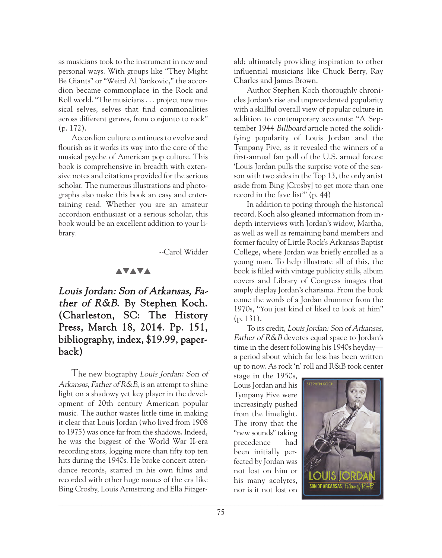as musicians took to the instrument in new and personal ways. With groups like "They Might Be Giants" or "Weird Al Yankovic," the accordion became commonplace in the Rock and Roll world. "The musicians . . . project new musical selves, selves that find commonalities across different genres, from conjunto to rock" (p. 172).

Accordion culture continues to evolve and flourish as it works its way into the core of the musical psyche of American pop culture. This book is comprehensive in breadth with extensive notes and citations provided for the serious scholar. The numerous illustrations and photographs also make this book an easy and entertaining read. Whether you are an amateur accordion enthusiast or a serious scholar, this book would be an excellent addition to your library.

--Carol Widder

#### **AVAVA**

Louis Jordan: Son of Arkansas, Father of R&B. By Stephen Koch. (Charleston, SC: The History Press, March 18, 2014. Pp. 151, bibliography, index, \$19.99, paperback)

The new biography Louis Jordan: Son of Arkansas, Father of R&B, is an attempt to shine light on a shadowy yet key player in the development of 20th century American popular music. The author wastes little time in making it clear that Louis Jordan (who lived from 1908 to 1975) was once far from the shadows. Indeed, he was the biggest of the World War II-era recording stars, logging more than fifty top ten hits during the 1940s. He broke concert attendance records, starred in his own films and recorded with other huge names of the era like Bing Crosby, Louis Armstrong and Ella Fitzger-

ald; ultimately providing inspiration to other influential musicians like Chuck Berry, Ray Charles and James Brown.

Author Stephen Koch thoroughly chronicles Jordan's rise and unprecedented popularity with a skillful overall view of popular culture in addition to contemporary accounts: "A September 1944 Billboard article noted the solidifying popularity of Louis Jordan and the Tympany Five, as it revealed the winners of a first-annual fan poll of the U.S. armed forces: 'Louis Jordan pulls the surprise vote of the season with two sides in the Top 13, the only artist aside from Bing [Crosby] to get more than one record in the fave list'" (p. 44)

In addition to poring through the historical record, Koch also gleaned information from indepth interviews with Jordan's widow, Martha, as well as well as remaining band members and former faculty of Little Rock's Arkansas Baptist College, where Jordan was briefly enrolled as a young man. To help illustrate all of this, the book is filled with vintage publicity stills, album covers and Library of Congress images that amply display Jordan's charisma. From the book come the words of a Jordan drummer from the 1970s, "You just kind of liked to look at him" (p. 131).

To its credit, Louis Jordan: Son of Arkansas, Father of R&B devotes equal space to Jordan's time in the desert following his 1940s heyday a period about which far less has been written up to now. As rock 'n' roll and R&B took center

stage in the 1950s, Louis Jordan and his Tympany Five were increasingly pushed from the limelight. The irony that the "new sounds" taking precedence had been initially perfected by Jordan was not lost on him or his many acolytes, nor is it not lost on

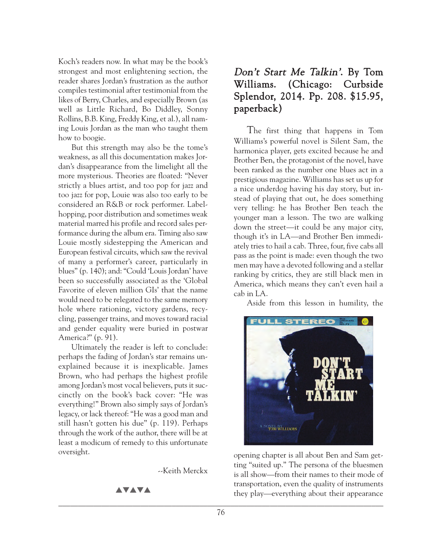Koch's readers now. In what may be the book's strongest and most enlightening section, the reader shares Jordan's frustration as the author compiles testimonial after testimonial from the likes of Berry, Charles, and especially Brown (as well as Little Richard, Bo Diddley, Sonny Rollins, B.B. King, Freddy King, et al.), all naming Louis Jordan as the man who taught them how to boogie.

But this strength may also be the tome's weakness, as all this documentation makes Jordan's disappearance from the limelight all the more mysterious. Theories are floated: "Never strictly a blues artist, and too pop for jazz and too jazz for pop, Louie was also too early to be considered an R&B or rock performer. Labelhopping, poor distribution and sometimes weak material marred his profile and record sales performance during the album era. Timing also saw Louie mostly sidestepping the American and European festival circuits, which saw the revival of many a performer's career, particularly in blues" (p. 140); and: "Could 'Louis Jordan' have been so successfully associated as the 'Global Favorite of eleven million GIs' that the name would need to be relegated to the same memory hole where rationing, victory gardens, recycling, passenger trains, and moves toward racial and gender equality were buried in postwar America?" (p. 91).

Ultimately the reader is left to conclude: perhaps the fading of Jordan's star remains unexplained because it is inexplicable. James Brown, who had perhaps the highest profile among Jordan's most vocal believers, puts it succinctly on the book's back cover: "He was everything!" Brown also simply says of Jordan's legacy, or lack thereof: "He was a good man and still hasn't gotten his due" (p. 119). Perhaps through the work of the author, there will be at least a modicum of remedy to this unfortunate oversight.

--Keith Merckx

**AVAVA** 

# Don't Start Me Talkin'. By Tom Williams. (Chicago: Curbside Splendor, 2014. Pp. 208. \$15.95, paperback)

The first thing that happens in Tom Williams's powerful novel is Silent Sam, the harmonica player, gets excited because he and Brother Ben, the protagonist of the novel, have been ranked as the number one blues act in a prestigious magazine. Williams has set us up for a nice underdog having his day story, but instead of playing that out, he does something very telling: he has Brother Ben teach the younger man a lesson. The two are walking down the street—it could be any major city, though it's in LA—and Brother Ben immediately tries to hail a cab. Three, four, five cabs all pass as the point is made: even though the two men may have a devoted following and a stellar ranking by critics, they are still black men in America, which means they can't even hail a cab in LA.

Aside from this lesson in humility, the



opening chapter is all about Ben and Sam getting "suited up." The persona of the bluesmen is all show—from their names to their mode of transportation, even the quality of instruments they play—everything about their appearance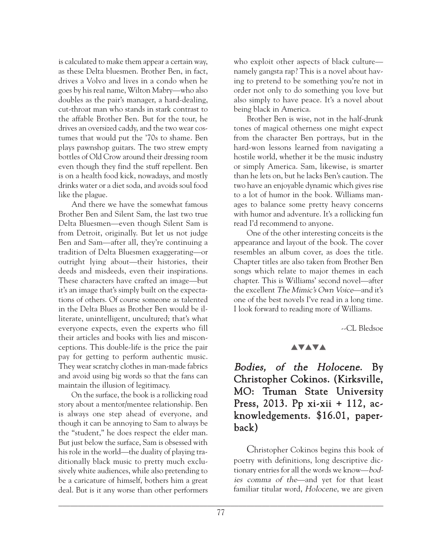is calculated to make them appear a certain way, as these Delta bluesmen. Brother Ben, in fact, drives a Volvo and lives in a condo when he goes by his real name, Wilton Mabry—who also doubles as the pair's manager, a hard-dealing, cut-throat man who stands in stark contrast to the affable Brother Ben. But for the tour, he drives an oversized caddy, and the two wear costumes that would put the '70s to shame. Ben plays pawnshop guitars. The two strew empty bottles of Old Crow around their dressing room even though they find the stuff repellent. Ben is on a health food kick, nowadays, and mostly drinks water or a diet soda, and avoids soul food like the plague.

And there we have the somewhat famous Brother Ben and Silent Sam, the last two true Delta Bluesmen—even though Silent Sam is from Detroit, originally. But let us not judge Ben and Sam—after all, they're continuing a tradition of Delta Bluesmen exaggerating—or outright lying about—their histories, their deeds and misdeeds, even their inspirations. These characters have crafted an image—but it's an image that's simply built on the expectations of others. Of course someone as talented in the Delta Blues as Brother Ben would be illiterate, unintelligent, uncultured; that's what everyone expects, even the experts who fill their articles and books with lies and misconceptions. This double-life is the price the pair pay for getting to perform authentic music. They wear scratchy clothes in man-made fabrics and avoid using big words so that the fans can maintain the illusion of legitimacy.

On the surface, the book is a rollicking road story about a mentor/mentee relationship. Ben is always one step ahead of everyone, and though it can be annoying to Sam to always be the "student," he does respect the elder man. But just below the surface, Sam is obsessed with his role in the world—the duality of playing traditionally black music to pretty much exclusively white audiences, while also pretending to be a caricature of himself, bothers him a great deal. But is it any worse than other performers

who exploit other aspects of black culture namely gangsta rap? This is a novel about having to pretend to be something you're not in order not only to do something you love but also simply to have peace. It's a novel about being black in America.

Brother Ben is wise, not in the half-drunk tones of magical otherness one might expect from the character Ben portrays, but in the hard-won lessons learned from navigating a hostile world, whether it be the music industry or simply America. Sam, likewise, is smarter than he lets on, but he lacks Ben's caution. The two have an enjoyable dynamic which gives rise to a lot of humor in the book. Williams manages to balance some pretty heavy concerns with humor and adventure. It's a rollicking fun read I'd recommend to anyone.

One of the other interesting conceits is the appearance and layout of the book. The cover resembles an album cover, as does the title. Chapter titles are also taken from Brother Ben songs which relate to major themes in each chapter. This is Williams' second novel—after the excellent The Mimic's Own Voice—and it's one of the best novels I've read in a long time. I look forward to reading more of Williams.

--CL Bledsoe

## **AVAVA**

Bodies, of the Holocene. By Christopher Cokinos. (Kirksville, MO: Truman State University Press, 2013. Pp xi-xii + 112, acknowledgements. \$16.01, paperback)

Christopher Cokinos begins this book of poetry with definitions, long descriptive dictionary entries for all the words we know—bodies comma of the—and yet for that least familiar titular word, Holocene, we are given